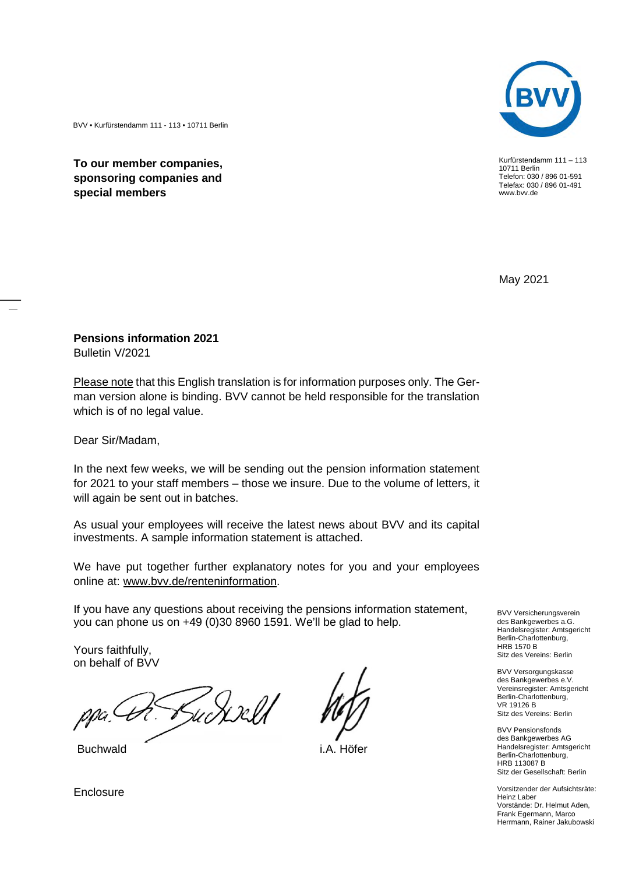Kurfürstendamm 111 – 113 10711 Berlin Telefon: 030 / 896 01-591 Telefax: 030 / 896 01-491 www.bvv.de

May 2021

BVV • Kurfürstendamm 111 - 113 • 10711 Berlin

**To our member companies, sponsoring companies and special members**

**Pensions information 2021**

Bulletin V/2021

Please note that this English translation is for information purposes only. The German version alone is binding. BVV cannot be held responsible for the translation which is of no legal value.

Dear Sir/Madam,

In the next few weeks, we will be sending out the pension information statement for 2021 to your staff members – those we insure. Due to the volume of letters, it will again be sent out in batches.

As usual your employees will receive the latest news about BVV and its capital investments. A sample information statement is attached.

We have put together further explanatory notes for you and your employees online at: www.bvv.de/renteninformation.

If you have any questions about receiving the pensions information statement, you can phone us on +49 (0)30 8960 1591. We'll be glad to help.

Yours faithfully, on behalf of BVV

Sudarell



Buchwald i.A. Höfer

BVV Versicherungsverein des Bankgewerbes a.G. Handelsregister: Amtsgericht Berlin-Charlottenburg, HRB 1570 B Sitz des Vereins: Berlin

BVV Versorgungskasse des Bankgewerbes e.V. Vereinsregister: Amtsgericht Berlin-Charlottenburg, VR 19126 B Sitz des Vereins: Berlin

BVV Pensionsfonds des Bankgewerbes AG Handelsregister: Amtsgericht Berlin-Charlottenburg, HRB 113087 B Sitz der Gesellschaft: Berlin

Vorsitzender der Aufsichtsräte: Heinz Laber Vorstände: Dr. Helmut Aden, Frank Egermann, Marco Herrmann, Rainer Jakubowski

**Enclosure**